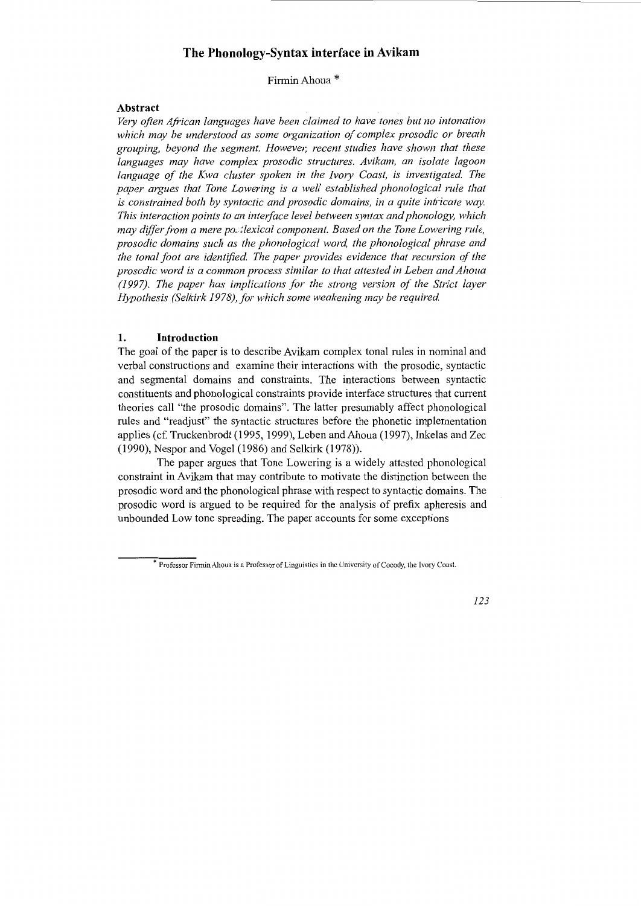# **The Phonology-Syntax interface in Avikam**

FirminAhoua \*

# **Abstract**

*Ve1y often African languages have been claimed to have tones but no intonation which may be understood as some organization of complex prosodic or breath*  grouping, beyond the segment. However, recent studies have shown that these *languages may have complex prosodic structures. Avikam, an isolate lagoon*  language of the Kwa cluster spoken in the Ivory Coast, is investigated. The *paper argues that Tone Lowering is a well established phonological rule that is constrained both by syntactic and prosodic domains, in a quite intricate way. This interaction points to an interface level between syntax and phonology, which may differ from a mere po; :lexical component. Based on the Tone Lowering rule, prosodic domains such as the phonological word, the phonological phrase and the tonal foot are identified. The paper provides evidence that recursion of the prosodic word is a common process similar to that attested in Leben and Ahoua (1997). The paper has implications for the strong version of the Strict layer Hypothesis (Selkirk 1978), for which some weakening may be required.* 

#### **1. Introduction**

The goal of the paper is to describe Avikam complex tonal rules in nominal and verbal constructions and examine their interactions with the prosodic, syntactic and segmental domains and constraints. The interactions between syntactic constituents and phonological constraints provide interface structures that current theories call "the prosodic domains". The latter presumably affect phonological rules and "readjust" the syntactic structures before the phonetic implementation applies (cf. Truckenbrodt (1995, 1999), Leben and Ahoua (1997), Inkelas and Zec (1990), Nespor and Vogel (1986) and Selkirk (1978)).

The paper argues that Tone Lowering is a widely attested phonological constraint in Avikam that may contribute to motivate the distinction between the prosodic word and the phonological phrase with respect to syntactic domains. The prosodic word is argued to be required for the analysis of prefix apheresis and unbounded Low tone spreading. The paper accounts for some exceptions

*123* 

<sup>\*</sup> Professor Firmin Ahoua is a Professor of Linguistics in the University of Cocody, the Ivory Coast.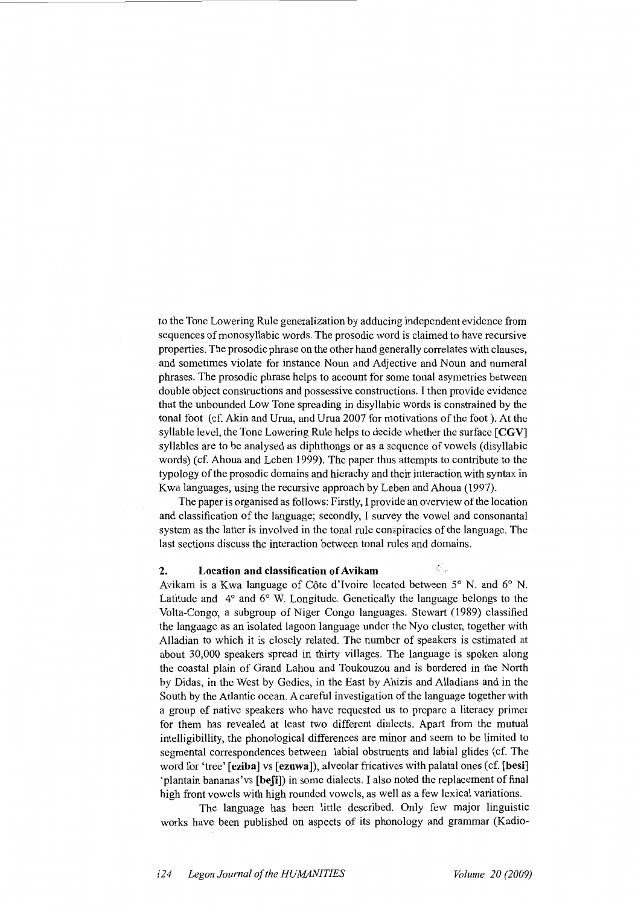to the Tone Lowering Rule generalization by adducing independent evidence from sequences of monosyllabic words. The prosodic word is claimed to have recursive properties. The prosodic phrase on the other hand generally correlates with clauses, and sometimes violate for instance Noun and Adjective and Noun and numeral phrases. The prosodic phrase helps to account for some tonal asymetries between double object constructions and possessive constructions. I then provide evidence that the unbounded Low Tone spreading in disyllabic words is constrained by the tonal foot (cf. Akin and Urua, and Urua 2007 for motivations of the foot). At the syllable level, the Tone Lowering Rule helps to decide whether the surface **[CGV]**  syllables are to be analysed as diphthongs or as a sequence of vowels (disyllabic words) (cf. Ahoua and Leben 1999). The paper thus attempts to contribute to the typology of the prosodic domains and hierachy and their interaction with syntax in Kwa languages, using the recursive approach by Leben and Ahoua (1997).

The paper is organised as follows: Firstly, I provide an overview of the location and classification of the language; secondly, I survey the vowel and consonantal system as the latter is involved in the tonal rule conspiracies of the language. The last sections discuss the interaction between tonal rules and domains.

#### **2. Location and classification of Avikam**

Avikam is a Kwa language of Cote d'Ivoire located between 5° N. and 6° N. Latitude and 4° and 6° W. Longitude. Genetically the language belongs to the Volta-Congo, a subgroup of Niger Congo languages. Stewart (1989) classified the language as an isolated lagoon language under the Nyo cluster, together with Alladian to which it is closely related. The number of speakers is estimated at about 30,000 speakers spread in thirty villages. The language is spoken along the coastal plain of Grand Lahou and Toukouzou and is bordered in the North by Didas, in the West by Godies, in the East by Ahizis and Alladians and in the South by the Atlantic ocean. A careful investigation of the language together with a group of native speakers who have requested us to prepare a literacy primer for them has revealed at least two different dialects. Apart from the mutual intelligibillity, the phonological differences are minor and seem to be limited to segmental correspondences between labial obstruents and labial glides (cf. The word for 'tree' **[eziba] vs [ezuwa]),** alveolar fricatives with palatal ones (cf. **[besi]**  'plantain bananas'vs **[beJi])** in some dialects. I also noted the replacement of final high front vowels with high rounded vowels, as well as a few lexical variations.

The language has been little described. Only few major linguistic works have been published on aspects of its phonology and grammar (Kadio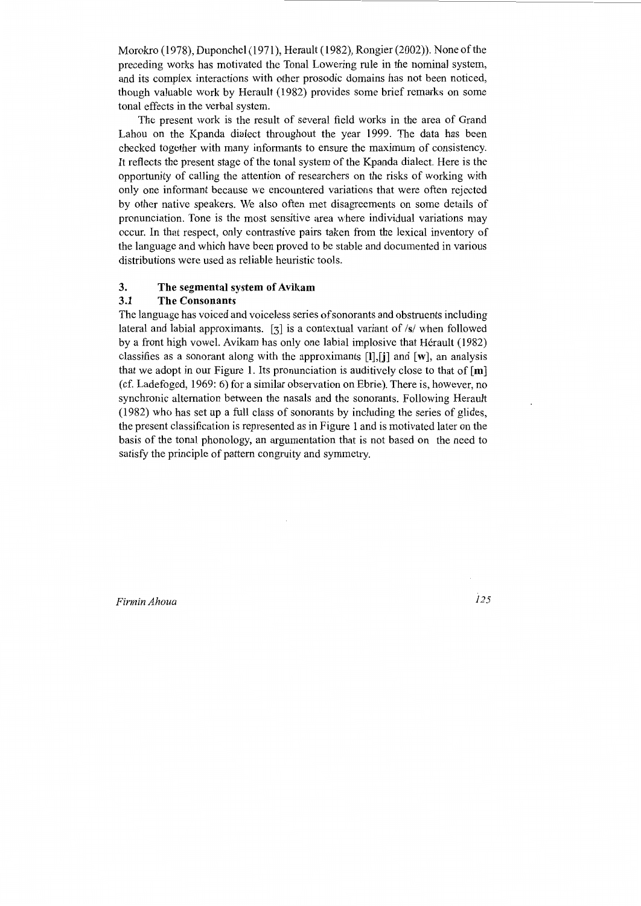Morokro (1978), Duponchel (1971), Herault (1982), Rongier (2002)). None of the preceding works has motivated the Tonal Lowering rule in the nominal system, and its complex interactions with other prosodic domains has not been noticed, though valuable work by Herault (1982) provides some brief remarks on some tonal effects in the verbal system.

The present work is the result of several field works in the area of Grand Lahou on the Kpanda dialect throughout the year 1999. The data has been checked together with many informants to ensure the maximum of consistency. It reflects the present stage of the tonal system of the Kpanda dialect. Here is the opportunity of calling the attention of researchers on the risks of working with only one informant because we encountered variations that were often rejected by other native speakers. We also often met disagreements on some details of pronunciation. Tone is the most sensitive area where individual variations may occur. In that respect, only contrastive pairs taken from the lexical inventory of the language and which have been proved to be stable and documented in various distributions were used as reliable heuristic tools.

### **3. The segmental system of Avikam**

## **3.1 The Consonants**

The language has voiced and voiceless series of sonorants and obstruents including lateral and labial approximants. [3] is a contextual variant of /s/ when followed by a front high vowel. Avikam has only one labial implosive that Hérault (1982) classifies as a sonorant along with the approximants **[l],[j]** and **[w],** an analysis that we adopt in our Figure 1. Its pronunciation is auditively close to that of **[m]**  (cf. Ladefoged, 1969: 6) for a similar observation on Ebrie ). There is, however, no synchronic alternation between the nasals and the sonorants. Following Herault (1982) who has set up a full class of sonorants by including the series of glides, the present classification is represented as in Figure 1 and is motivated later on the basis of the tonal phonology, an argumentation that is not based on the need to satisfy the principle of pattern congruity and symmetry.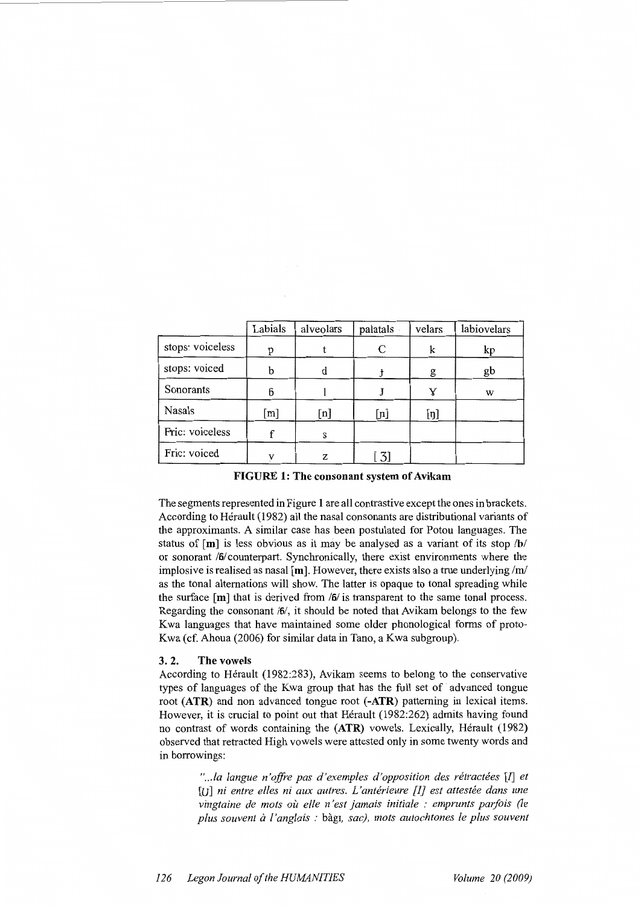|                  | Labials                   | alveolars | palatals         | velars | labiovelars |
|------------------|---------------------------|-----------|------------------|--------|-------------|
| stops: voiceless | p                         |           | С                | k      | kp          |
| stops: voiced    | b                         | d         |                  | g      | gb          |
| Sonorants        | 6                         |           |                  | v      | W           |
| Nasals           | $\left[\mathrm{m}\right]$ | [n]       | $[n]$            | [n]    |             |
| Fric: voiceless  |                           | S         |                  |        |             |
| Fric: voiced     |                           | Z         | $\left[3\right]$ |        |             |

**FIGURE 1: The consonant system of Avikam** 

The segments represented in Figure **1** are all contrastive except the ones in brackets. According to Herault (1982) all the nasal consonants are distributional variants of the approximants. A similar case has been postulated for Potou languages. The status of [ **m]** is less obvious as it may be analysed as a variant of its stop **/b/**  or sonorant **/6/** counterpart. Synchronically, there exist environments where the implosive is realised as nasal **[m].** However, there exists also a true underlying */ml*  as the tonal alternations will show. The latter is opaque to tonal spreading while the surface [ **m]** that is derived from **/6/** is transparent to the same tonal process. Regarding the consonant **/6/,** it should be noted that Avikam belongs to the few Kwa languages that have maintained some older phonological forms of proto-Kwa (cf. Ahoua (2006) for similar data in Tano, a Kwa subgroup).

#### **3. 2. The vowels**

According to Herault (1982:283), Avikam seems to belong to the conservative types of languages of the Kwa group that has the full set of advanced tongue root **(ATR)** and non advanced tongue root **(-ATR)** patterning in lexical items. However, it is crucial to point out that Hérault (1982:262) admits having found no contrast of words containing the **(ATR)** vowels. Lexically, Herault (1982) observed that retracted High vowels were attested only in some twenty words and in borrowings:

> *" ... la langue n 'offre pas d'exemples d'opposition des retractees* [l] *et*  [U] ni entre elles ni aux autres. L'antérieure [I] est attestée dans une *vingtaine de mots où elle n'est jamais initiale : emprunts parfois (le plus souvent a l'anglais :* bagr, *sac), mots autochtones le plus souvent*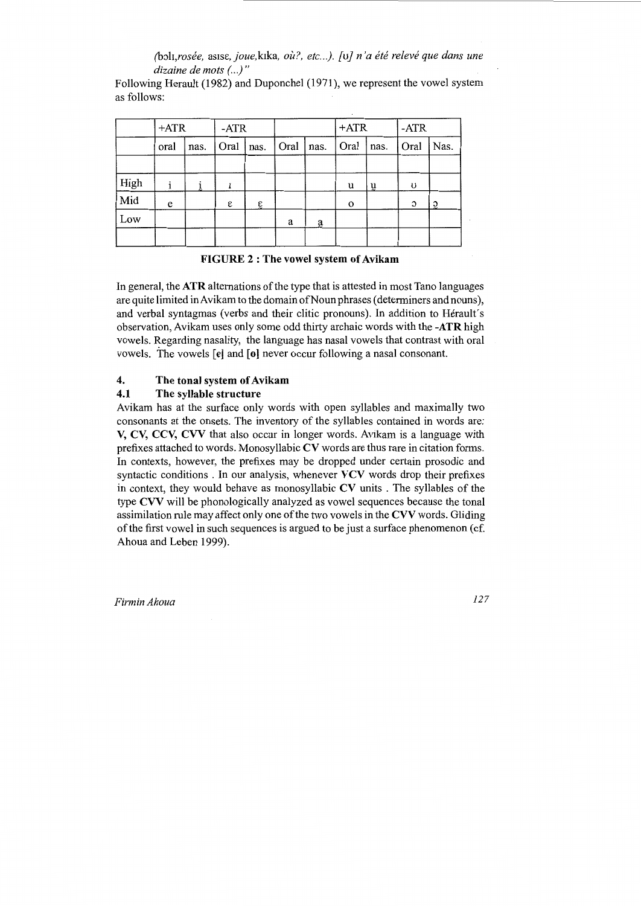*(b;,h,rosee,* as1s£, *joue,kika, ou?, etc .. .). [u] n 'a ete re/eve que dans une dizaine de mots (..)* "

Following Herault (1982) and Duponchel (1971), we represent the vowel system as follows:

|      | $+ATR$ |      | $-ATR$ |            |      |                 | $+ATR$   |      | $-ATR$ |                |
|------|--------|------|--------|------------|------|-----------------|----------|------|--------|----------------|
|      | oral   | nas. | Oral   | nas.       | Oral | nas.            | Oral     | nas. | Oral   | Nas.           |
|      |        |      |        |            |      |                 |          |      |        |                |
| High |        |      |        |            |      |                 | u        | $u$  | U      |                |
| Mid  | e      |      | ε      | $\epsilon$ |      |                 | $\Omega$ |      | С      | $\mathfrak{D}$ |
| Low  |        |      |        |            | a    | $\underline{a}$ |          |      |        |                |
|      |        |      |        |            |      |                 |          |      |        |                |

**FIGURE 2 : The vowel system of Avikam** 

In general, the **ATR** alternations of the type that is attested in most Tano languages are quite limited in Avikam to the domain of Noun phrases (determiners and nouns), and verbal syntagmas (verbs and their clitic pronouns). In addition to Herault's observation, Avikam uses only some odd thirty archaic words with the **-ATR** high vowels. Regarding nasality, the language has nasal vowels that contrast with oral vowels. The vowels [e] and **[o]** never occur following a nasal consonant.

# **4. The tonal system of Avikam**

# **4.1 The syllable structure**

Avikam has at the surface only words with open syllables and maximally two consonants at the onsets. The inventory of the syllables contained in words are: **V, CV, CCV, CVV** that also occur in longer words. Avikam is a language with prefixes attached to words. Monosyllabic **CV** words are thus rare in citation forms. In contexts, however, the prefixes may be dropped under certain prosodic and syntactic conditions . In our analysis, whenever **VCV** words drop their prefixes in context, they would behave as monosyllabic **CV** units . The syllables of the type **CVV** will be phonologically analyzed as vowel sequences because the tonal assimilation rule may affect only one of the two vowels in the **CVV** words. Gliding of the first vowel in such sequences is argued to be just a surface phenomenon (cf. Ahoua and Leben 1999).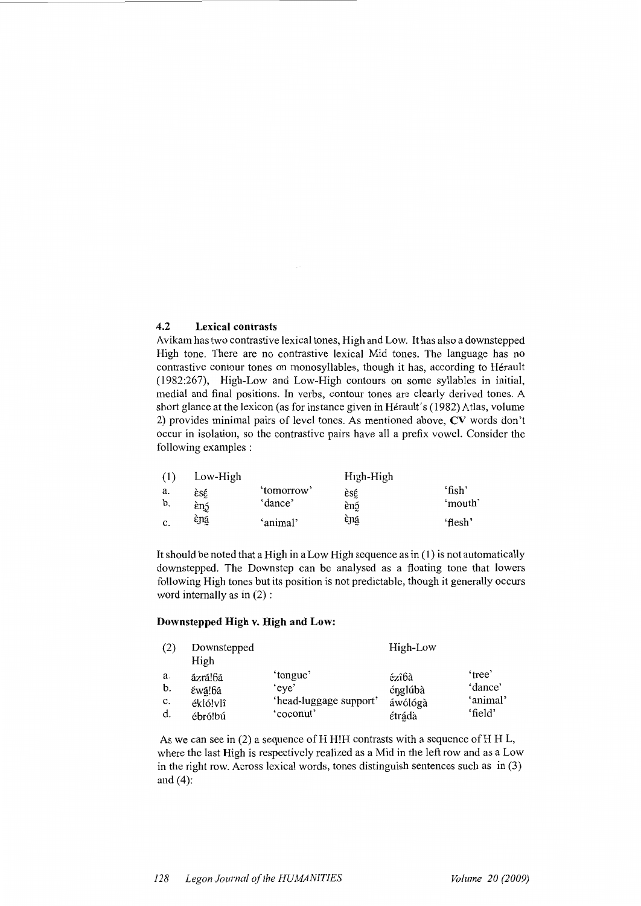## **4.2 Lexical contrasts**

Avikam has two contrastive lexical tones, High and Low. It has also a downstepped High tone. There are no contrastive lexical Mid tones. The language has no contrastive contour tones on monosyllables, though it has, according to Herault (1982:267), High-Low and Low-High contours on some syllables in initial, medial and final positions. In verbs, contour tones are clearly derived tones. A short glance at the lexicon (as for instance given in Hérault's (1982) Atlas, volume 2) provides minimal pairs of level tones. As mentioned above, CV words don't occur in isolation, so the contrastive pairs have all a prefix vowel. Consider the following examples :

| (1) | Low-High |            | High-High |         |
|-----|----------|------------|-----------|---------|
| a.  | èsέ      | 'tomorrow' | èsé       | 'fish'  |
| b.  | εη5      | 'dance'    | ènó       | 'mouth' |
| c.  | èná      | 'animal'   | èná       | 'flesh' |

It should be noted that a High in a Low High sequence as in (1) is not automatically downstepped. The Downstep can be analysed as a floating tone that lowers following High tones but its position is not predictable, though it generally occurs word internally as in (2) :

## **Downstepped High v. High and Low:**

| (2) | Downstepped |                        | High-Low |          |
|-----|-------------|------------------------|----------|----------|
|     | High        |                        |          |          |
| a.  | ázrá!6á     | 'tongue'               | ézîbà    | 'tree'   |
| b.  | έwá!6á      | 'eve'                  | énglúbà  | 'dance'  |
| c.  | ékló!vlî    | 'head-luggage support' | áwólógà  | 'animal' |
| d.  | ébró!bú     | 'coconut'              | étrádà   | 'field'  |

As we can see in  $(2)$  a sequence of H H!H contrasts with a sequence of H H L, where the last High is respectively realized as a Mid in the left row and as a Low in the right row. Across lexical words, tones distinguish sentences such as in (3) and (4):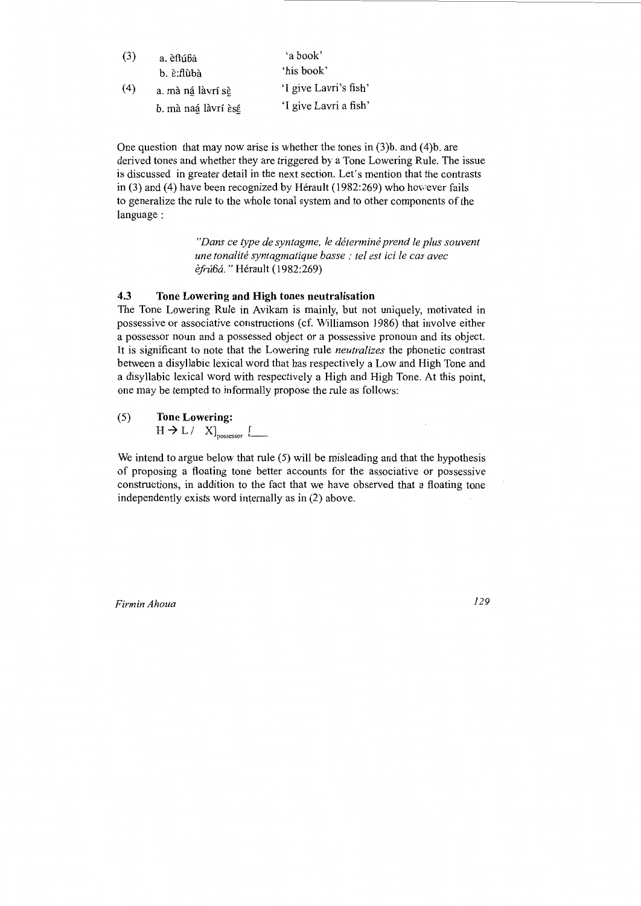| (3) | a. èflúbà                   | 'a book'              |
|-----|-----------------------------|-----------------------|
|     | b. è:flùbà                  | 'his book'            |
| (4) | a. mà ná làvrí sè           | 'I give Lavri's fish' |
|     | b. mà naá làvrí ès <u>é</u> | 'I give Lavri a fish' |

One question that may now arise is whether the tones in (3)b. and (4)b. are derived tones and whether they are triggered by a Tone Lowering Rule. The issue is discussed in greater detail in the next section. Let's mention that the contrasts in  $(3)$  and  $(4)$  have been recognized by Hérault (1982:269) who however fails to generalize the rule to the whole tonal system and to other components of the language:

> *"Dans ce type de syntagme, le determine prend le plus souvent une tonalite syntagmatique basse : tel est ici le cas avec efru6a.* "Herault (1982:269)

## **4.3 Tone Lowering and High tones neutralisation**

The Tone Lowering Rule in Avikam is mainly, but not uniquely, motivated in possessive or associative constructions (cf. Williamson 1986) that involve either a possessor noun and a possessed object or a possessive pronoun and its object. It is significant to note that the Lowering rule *neutralizes* the phonetic contrast between a disyllabic lexical word that has respectively a Low and High Tone and a disyllabic lexical word with respectively a High and High Tone. At this point, one may be tempted to informally propose the rule as follows:

(5) **Tone Lowering:** 

 $H \rightarrow L / X$ <sub>possessor</sub> [

We intend to argue below that rule (5) will be misleading and that the hypothesis of proposing a floating tone better accounts for the associative or possessive constructions, in addition to the fact that we have observed that a floating tone independently exists word internally as in (2) above.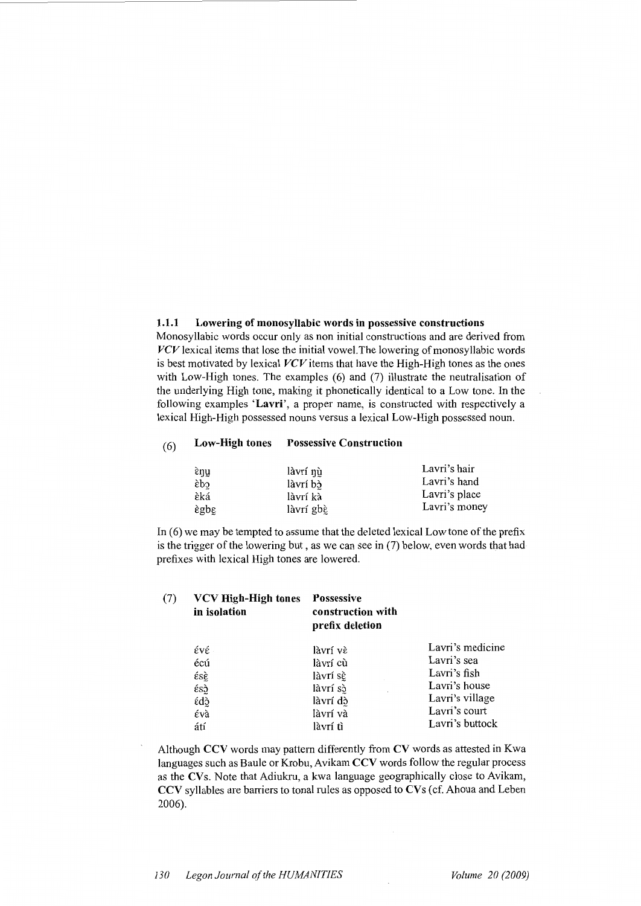#### 1.1.1 Lowering of monosyllabic words in possessive constructions

Monosyllabic words occur only as non initial constructions and are derived from  $VCV$  lexical items that lose the initial vowel. The lowering of monosyllabic words is best motivated by lexical *VCV* items that have the High-High tones as the ones with Low-High tones. The examples (6) and (7) illustrate the neutralisation of the underlying High tone, making it phonetically identical to a Low tone. In the following examples 'Lavri', a proper name, is constructed with respectively a lexical High-High possessed nouns versus a lexical Low-High possessed noun.

# (6) Low-High tones Possessive Construction

| έŋμ            | làvrí nù  | Lavri's hair  |
|----------------|-----------|---------------|
| cdś            | làvrí bò  | Lavri's hand  |
| èká            | làvrí kà  | Lavri's place |
| $\epsilon$ gbg | làvrí gbè | Lavri's money |

In  $(6)$  we may be tempted to assume that the deleted lexical Low tone of the prefix is the trigger of the lowering but, as we can see in (7) below, even words that had prefixes with lexical High tones are lowered.

| (7) | <b>VCV High-High tones</b><br>in isolation | <b>Possessive</b><br>construction with<br>prefix deletion |                  |
|-----|--------------------------------------------|-----------------------------------------------------------|------------------|
|     | ένέ                                        | làvrí vè                                                  | Lavri's medicine |
|     | écú                                        | làvrí cù                                                  | Lavri's sea      |
|     | έsὲ                                        | làvrí sè                                                  | Lavri's fish     |
|     | έsς                                        | làvrí sò                                                  | Lavri's house    |
|     | έdς                                        | làvrí dò                                                  | Lavri's village  |
|     | έvà                                        | làvrí và                                                  | Lavri's court    |
|     | átí                                        | làvrí tì                                                  | Lavri's buttock  |

Although CCV words may pattern differently from CV words as attested in Kwa languages such as Baule or Krobu, Avikam CCV words follow the regular process as the  $CVs$ . Note that Adiukru, a kwa language geographically close to Avikam, CCV syllables are barriers to tonal rules as opposed to CVs (cf. Ahoua and Leben 2006).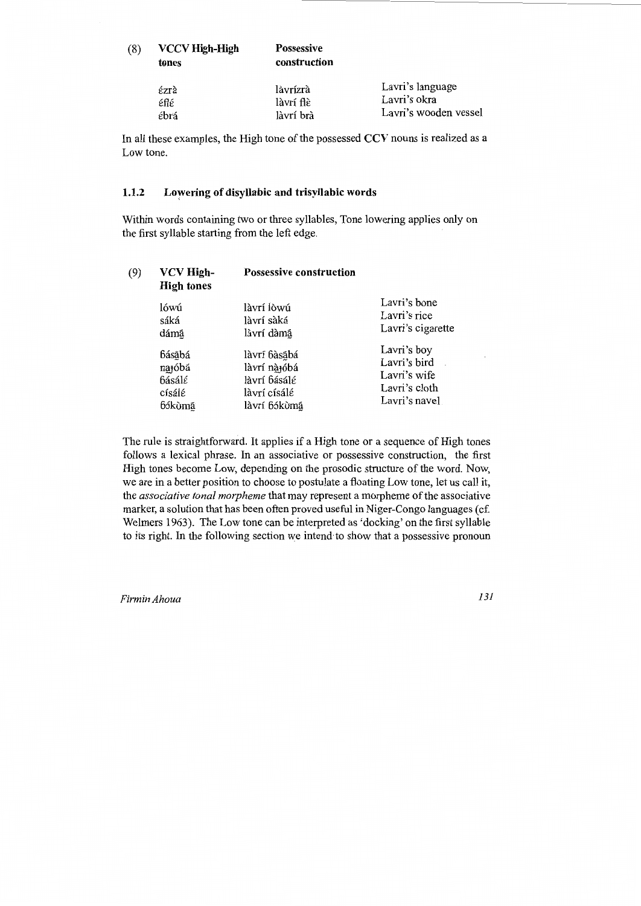| (8) | <b>VCCV High-High</b><br>tones | <b>Possessive</b><br>construction |                       |
|-----|--------------------------------|-----------------------------------|-----------------------|
|     | έzrà                           | làvrízrà                          | Lavri's language      |
|     | έflέ                           | làvrí flè                         | Lavri's okra          |
|     | ébrá                           | làvrí brà                         | Lavri's wooden vessel |

In all these examples, the High tone of the possessed **CCV** nouns is realized as a Low tone.

# **1.1.2** Lowering of disyllabic and trisyllabic words

Within words containing two or three syllables, Tone lowering applies only on the first syllable starting from the left edge.

| (9) | VCV High-<br><b>High tones</b> | <b>Possessive construction</b> |                   |  |  |
|-----|--------------------------------|--------------------------------|-------------------|--|--|
|     | lówú                           | làvrí lòwú                     | Lavri's bone      |  |  |
|     | sáká                           | làvrí sàká                     | Lavri's rice      |  |  |
|     | dámá                           | làvrí dàmá                     | Lavri's cigarette |  |  |
|     | básábá                         | làvrí bàsábá                   | Lavri's boy       |  |  |
|     | najóbá                         | làvrí nàióbá                   | Lavri's bird      |  |  |
|     | básálé                         | làvrí básálé                   | Lavri's wife      |  |  |
|     | císálé                         | làvrí císálé                   | Lavri's cloth     |  |  |
|     | bókùmá                         | làvrí 6ókùm <u>á</u>           | Lavri's navel     |  |  |

The rule is straightforward. It applies if a High tone or a sequence of High tones follows a lexical phrase. In an associative or possessive construction, the first High tones become Low, depending on the prosodic structure of the word. Now, we are in a better position to choose to postulate a floating Low tone, let us call it, the *associative tonal morpheme* that may represent a morpheme of the associative marker, a solution that has been often proved useful in Niger-Congo languages (cf. Welmers 1963). The Low tone can be interpreted as 'docking' on the first syllable to its right. In the following section we intend to show that a possessive pronoun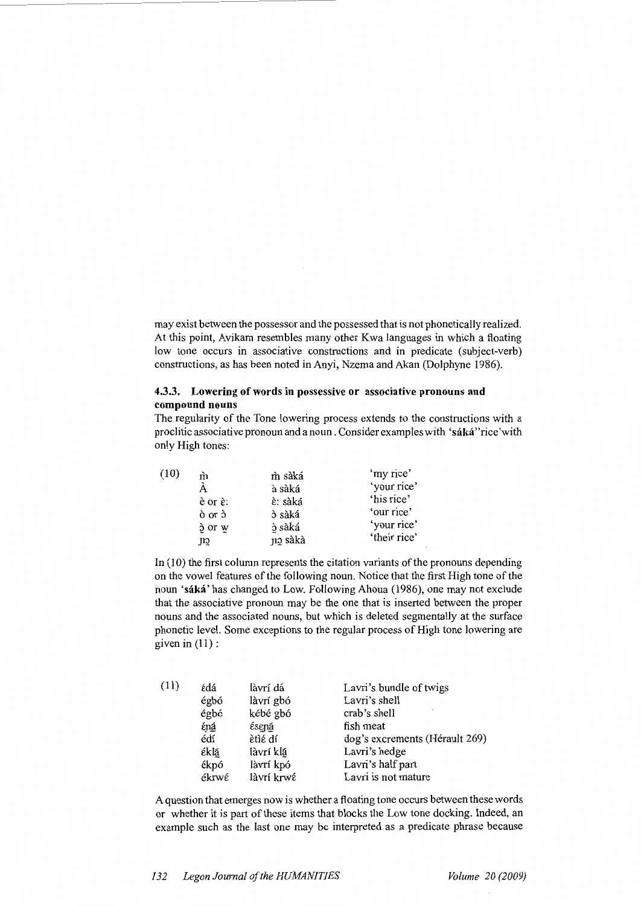may exist between the possessor and the possessed that is not phonetically realized. At this point, Avikam resembles many other Kwa languages in which a floating low tone occurs in associative constructions and in predicate (subject-verb) constructions, as has been noted in Anyi, Nzema and Akan (Dolphyne 1986).

## **4.3.3. Lowering of words in possessive or associative pronouns and compound nouns**

The regularity of the Tone lowering process extends to the constructions with a proclitic associative pronoun and a noun. Consider examples with **'saka** "rice 'with only High tones:

| (10) | m                        | m sàká  | 'my rice'    |
|------|--------------------------|---------|--------------|
|      |                          | à sàká  | 'your rice'  |
|      | $\dot{e}$ or $\dot{e}$ : | è: sàká | 'his rice'   |
|      | $\delta$ or $\delta$     | ò sàká  | 'our rice'   |
|      | $\delta$ or $w$          | ò sàká  | 'your rice'  |
|      | çn.                      | no sàkà | 'their rice' |

In (10) the first column represents the citation variants of the pronouns depending on the vowel features of the following noun. Notice that the first High tone of the noun **'saka'** has changed to Low. Following Ahoua (1986), one may not exclude that the associative pronoun may be the one that is inserted between the proper nouns and the associated nouns, but which is deleted segmentally at the surface phonetic level. Some exceptions to the regular process of High tone lowering are given in  $(11)$  :

| (11) | édá   | làvrí dá   | Lavri's bundle of twigs        |
|------|-------|------------|--------------------------------|
|      | égbó  | làvrí gbó  | Lavri's shell                  |
|      | égbó  | kébé gbó   | crab's shell                   |
|      | έná   | ésená      | fish meat                      |
|      | édí   | ètìé dí    | dog's excrements (Hérault 269) |
|      | έklá  | làvrí klá  | Lavri's hedge                  |
|      | ékpó  | làvrí kpó  | Lavri's half part              |
|      | ékrwé | làvrí krwé | Lavri is not mature            |

A question that emerges now is whether a floating tone occurs between these words or whether it is part of these items that blocks the Low tone docking. Indeed, an example such as the last one may be interpreted as a predicate phrase because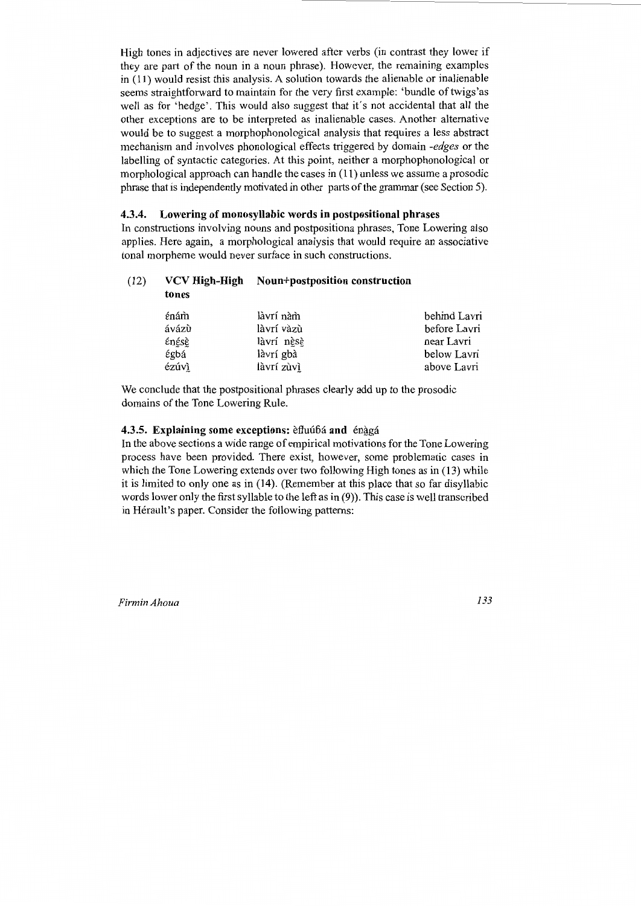High tones in adjectives are never lowered after verbs (in contrast they lower if they are part of the noun in a noun phrase). However, the remaining examples in ( 11) would resist this analysis. A solution towards the alienable or inalienable seems straightforward to maintain for the very first example: 'bundle of twigs'as well as for 'hedge'. This would also suggest that it's not accidental that all the other exceptions are to be interpreted as inalienable cases. Another alternative would be to suggest a morphophonological analysis that requires a less abstract mechanism and involves phonological effects triggered by domain *-edges* or the labelling of syntactic categories. At this point, neither a morphophonological or morphological approach can handle the cases in (11) unless we assume a prosodic phrase that is independently motivated in other parts of the grammar (see Section 5).

## **4.3.4. Lowering of monosyllabic words in postpositional phrases**

In constructions involving nouns and postpositiona phrases, Tone Lowering also applies. Here again, a morphological analysis that would require an associative tonal morpheme would never surface in such constructions.

#### (12) **VCV High-High N oun+postposition construction tones**

| énám  | làvrí nàm  | behind Lavri |
|-------|------------|--------------|
| ávázù | làvrí vàzù | before Lavri |
| énésè | làvrí nèsè | near Lavri   |
| έgbá  | làvrí gbà  | below Lavri  |
| ézúvì | làvrí zùvì | above Lavri  |

We conclude that the postpositional phrases clearly add up to the prosodic domains of the Tone Lowering Rule.

### **4.3.5. Explaining some exceptions: efluúbá and énggá**

In the above sections a wide range of empirical motivations for the Tone Lowering process have been provided. There exist, however, some problematic cases in which the Tone Lowering extends over two following High tones as in (13) while it is limited to only one as in (14). (Remember at this place that so far disyllabic words lower only the first syllable to the left as in (9)). This case is well transcribed in Herault's paper. Consider the following patterns: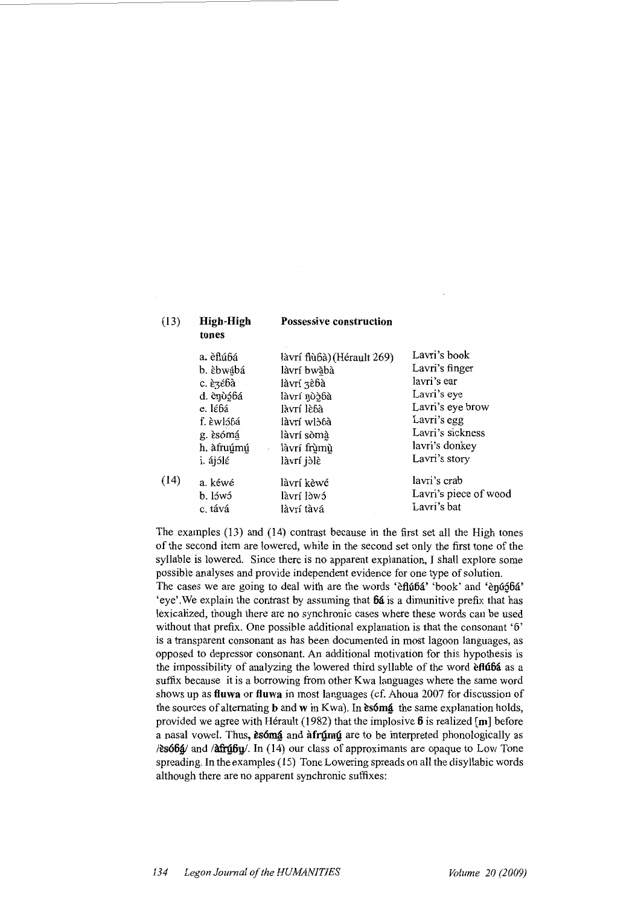# tones

(13) High-High Possessive construction

|      | a. èflúbá  | làvrí flù6à) (Hérault 269) | Lavri's book          |
|------|------------|----------------------------|-----------------------|
|      | b. èbwábá  | làvrí bwàbà                | Lavri's finger        |
|      | c. è3ébà   | làvrí zèbà                 | lavri's ear           |
|      | d. ènòóbá  | làvrí nòàbà                | Lavri's eye           |
|      | e. lébá    | làvrí lè6à                 | Lavri's eye brow      |
|      | f. èwló6á  | làvrí wlòɓà                | Lavri's egg           |
|      | g. èsómá   | làvrí sòmà                 | Lavri's sickness      |
|      | h. àfruúmú | làvrí frùmù                | lavri's donkey        |
|      | i. ájólé   | làvrí jòlè                 | Lavri's story         |
| (14) | a. kéwé    | làvrí kèwé                 | lavri's crab          |
|      | b. lówó    | làvrí lòwó                 | Lavri's piece of wood |
|      | c. tává    | làvrí tàvá                 | Lavri's bat           |
|      |            |                            |                       |

The examples (13) and (14) contrast because in the first set all the High tones of the second item are lowered, while in the second set only the first tone of the syllable is lowered. Since there is no apparent explanation, I shall explore some possible analyses and provide independent evidence for one type of solution. The cases we are going to deal with are the words 'efluba' 'book' and 'enjugba' 'eye'. We explain the contrast by assuming that  $64$  is a dimunitive prefix that has lexicalized, though there are no synchronic cases where these words can be used without that prefix. One possible additional explanation is that the consonant '6' is a transparent consonant as has been documented in most lagoon languages, as opposed to depressor consonant. An additional motivation for this hypothesis is the impossibility of analyzing the lowered third syllable of the word eftu6a as a suffix because it is a borrowing from other Kwa languages where the same word shows up as ftuwa or fluwa in most languages (cf. Ahoua 2007 for discussion of the sources of alternating  $\bf{b}$  and  $\bf{w}$  in Kwa). In  $\bf{e}$  is the same explanation holds, provided we agree with Hérault (1982) that the implosive  $\beta$  is realized [m] before a nasal vowel. Thus, esómá and a frúmú are to be interpreted phonologically as  $\lambda$ esóbá $/$  and  $\lambda$ afrú $\beta$ y. In (14) our class of approximants are opaque to Low Tone spreading. In the examples ( 15) Tone Lowering spreads on all the disyllabic words although there are no apparent synchronic suffixes: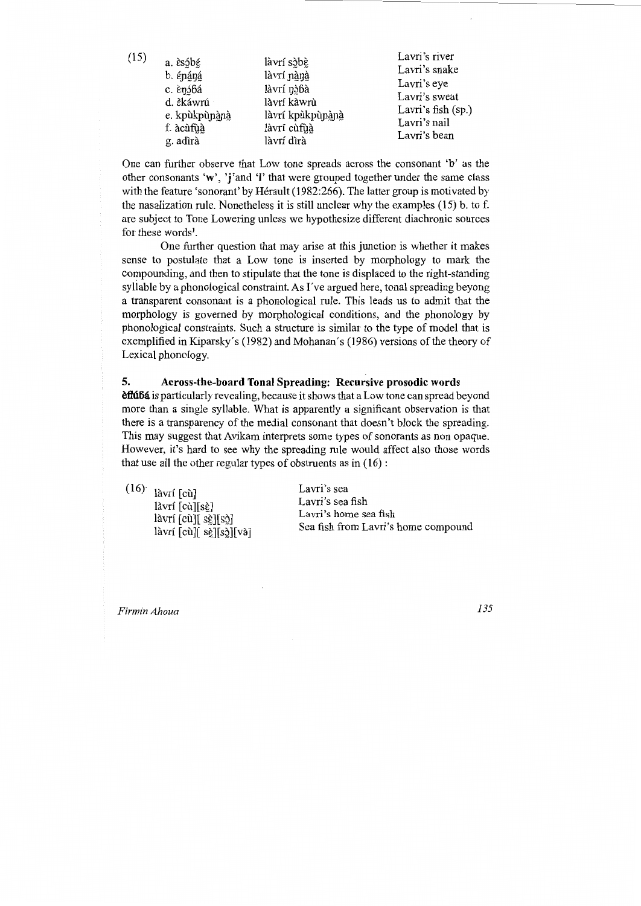| (15) | a. èsóbé      | làvrí sòbè       | Lavri's river   |
|------|---------------|------------------|-----------------|
|      |               |                  | Lavri's snake   |
|      | b. épáná      | làvrí nànà       | Lavri's eye     |
|      | c. ènóbá      | làvrí nòbà       | Lavri's sweat   |
|      | d. èkáwrú     | làvrí kàwrù      | Lavri's fish (s |
|      | e. kpùkpùnànà | làvrí kpùkpùnànà | Lavri's nail    |
|      | f. àcùfùà     | làvrí cùfuà      | Lavri's bean    |
|      | g. adìrà      | làvrí dìrà       |                 |

One can further observe that Low tone spreads across the consonant **'b'** as the other consonants **'w',** 'j'and **'I'** that were grouped together under the same class with the feature 'sonorant' by Hérault (1982:266). The latter group is motivated by the nasalization rule. Nonetheless it is still unclear why the examples (15) b. to f. are subject to Tone Lowering unless we hypothesize different diachronic sources for these words $<sup>1</sup>$ .</sup>

One further question that may arise at this junction is whether it makes sense to postulate that a Low tone is inserted by morphology to mark the compounding, and then to stipulate that the tone is displaced to the right-standing syllable by a phonological constraint. As I've argued here, tonal spreading beyong a transparent consonant is a phonological rule. This leads us to admit that the morphology is governed by morphological conditions, and the phonology by phonological constraints. Such a structure is similar to the type of model that is exemplified in Kiparsky's (1982) and Mohanan's (1986) versions of the theory of Lexical phonology.

## **5. Across-the-board Tonal Spreading: Recursive prosodic words**

**eflúbá** is particularly revealing, because it shows that a Low tone can spread beyond more than a single syllable. What is apparently a significant observation is that there is a transparency of the medial consonant that doesn't block the spreading. This may suggest that Avikam interprets some types of sonorants as non opaque. However, it's hard to see why the spreading rule would affect also those words that use all the other regular types of obstruents as in  $(16)$ :

 $(16)$ <sup>'</sup> làvrí [cù] làvrí [cù][sè]  $\lceil \dot{a} \text{vrí} \rceil \text{cù} \rceil \rceil \text{ sè} \rceil \rceil \text{sò} \rceil$ làvrí [cù][ sè][sò][và]

Lavri's sea Lavri's sea fish Lavri 's home sea fish Sea fish from Lavri's home compound

*Firmin Ahoua* 

*135* 

 $(sp.)$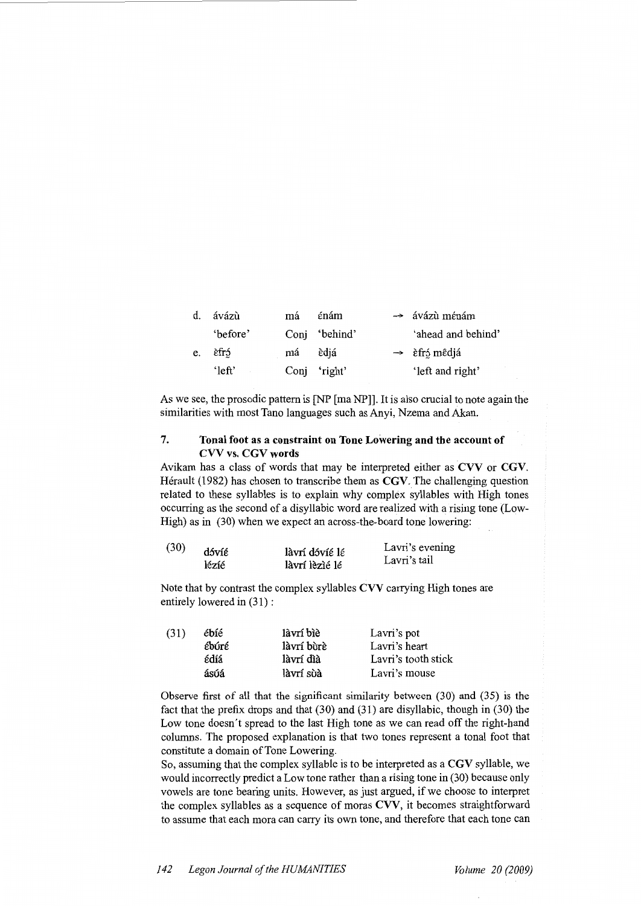| d. | ávázù     | má | énám          | $\rightarrow$ ávázù ménám                |
|----|-----------|----|---------------|------------------------------------------|
|    | 'before'  |    | Conj 'behind' | 'ahead and behind'                       |
| e. | èfró      | má | èdiá          | $\rightarrow$ $\hat{\epsilon}$ fró mêdjá |
|    | $'$ left' |    | Conj 'right'  | 'left and right'                         |

As we see, the prosodic pattern is [NP [ma NP]]. It is also crucial to note again the similarities with most Tano languages such as Anyi, Nzema and Akan.

# 7. Tonal foot as a constraint on Tone Lowering and the account of CVV vs. CGV words

Avikam has a class of words that may be interpreted either as CVV or CGV. Hérault (1982) has chosen to transcribe them as CGV. The challenging question related to these syllables is to explain why complex syllables with High tones occurring as the second of a disyllabic word are realized with a rising tone (Low-High) as in (30) when we expect an across-the-board tone lowering:

| (30) | dóvíé | làvrí dóvíé lé | Lavri's evening |
|------|-------|----------------|-----------------|
|      | lézíé | làvrí lèzié lé | Lavri's tail    |
|      |       |                |                 |

Note that by contrast the complex syllables CVV carrying High tones are entirely lowered in (31) :

| (31) | ébíé  | làvrí bìè  | Lavri's pot         |
|------|-------|------------|---------------------|
|      | ébúré | làvrí bùrè | Lavri's heart       |
|      | édíá  | làvrí dìà  | Lavri's tooth stick |
|      | ásúá  | làvrí sùà  | Lavri's mouse       |

Observe first of all that the significant similarity between (30) and (35) is the fact that the prefix drops and that (30) and (31) are disyllabic, though in (30) the Low tone doesn't spread to the last High tone as we can read off the right-hand columns. The proposed explanation is that two tones represent a tonal foot that constitute a domain of Tone Lowering.

So, assuming that the complex syllable is to be interpreted as a CGV syllable, we would incorrectly predict a Low tone rather than a rising tone in (30) because only vowels are tone bearing units. However, as just argued, if we choose to interpret the complex syllables as a sequence of moras CVV, it becomes straightforward to assume that each mora can carry its own tone, and therefore that each tone can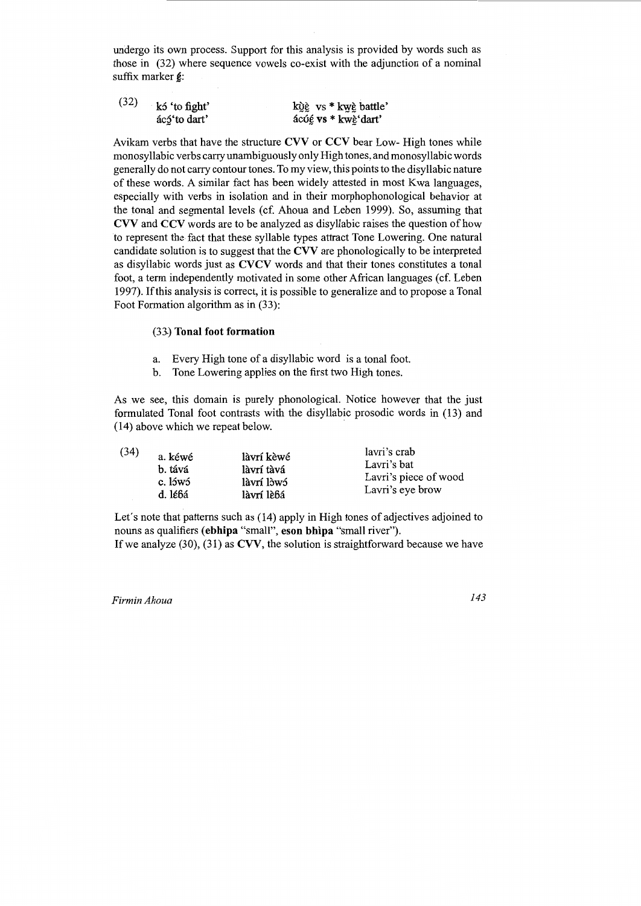undergo its own process. Support for this analysis is provided by words such as those in (32) where sequence vowels co-exist with the adjunction of a nominal suffix marker  $g$ :

| (32) | kó 'to fight' | kỳề vs * kwè battle' |
|------|---------------|----------------------|
|      | ácó to dart'  | ácúé vs * kwè'dart'  |

Avikam verbs that have the structure CVV or CCV bear Low- High tones while monosyllabic verbs carry unambiguously only High tones, and monosyllabic words generally do not carry contour tones. To my view, this points to the disyllabic nature of these words. A similar fact has been widely attested in most Kwa languages, especially with verbs in isolation and in their morphophonological behavior at the tonal and segmental levels (cf. Ahoua and Leben 1999). So, assuming that CVV and CCV words are to be analyzed as disyllabic raises the question of how to represent the fact that these syllable types attract Tone Lowering. One natural candidate solution is to suggest that the CVV are phonologically to be interpreted as disyllabic words just as CVCV words and that their tones constitutes a tonal foot, a term independently motivated in some other African languages (cf. Leben 1997). If this analysis is correct, it is possible to generalize and to propose a Tonal Foot Formation algorithm as in (33):

## (33.) Tonal foot formation

- a. Every High tone of a disyllabic word is a tonal foot.
- b. Tone Lowering applies on the first two High tones.

As we see, this domain is purely phonological. Notice however that the just formulated Tonal foot contrasts with the disyllabic prosodic words in (13) and (14) above which we repeat below. .

| (34) | a. kéwé | làvrí kèwé | lavri's crab          |
|------|---------|------------|-----------------------|
|      | b. tává | làvrí tàvá | Lavri's bat           |
|      | c. lówó | làvrí lòwó | Lavri's piece of wood |
|      | d. lébá | làvrí lèbá | Lavri's eye brow      |
|      |         |            |                       |

Let's note that patterns such as (14) apply in High tones of adjectives adjoined to nouns as qualifiers (ebhipa "small'', eson bhipa "small river"). If we analyze  $(30)$ ,  $(31)$  as CVV, the solution is straightforward because we have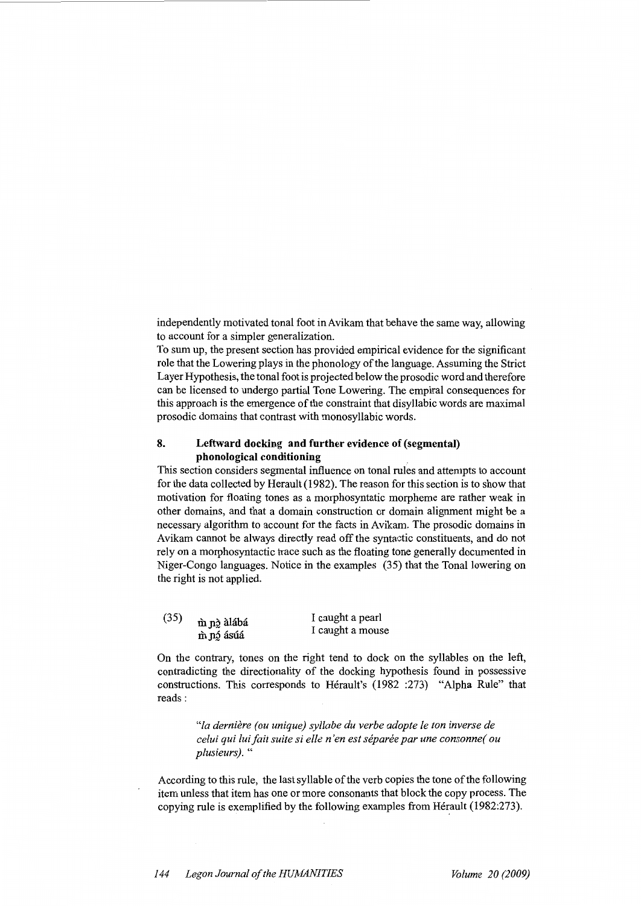independently motivated tonal foot in Avikam that behave the same way, allowing to account for a simpler generalization.

To sum up, the present section has provided empirical evidence for the significant role that the Lowering plays in the phonology of the language. Assuming the Strict Layer Hypothesis, the tonal foot is projected below the prosodic word and therefore can be licensed to undergo partial Tone Lowering. The empiral consequences for this approach is the emergence of the constraint that disyllabic words are maximal prosodic domains that contrast with monosyllabic words.

## **8. Leftward docking and further evidence of (segmental) phonological conditioning**

This section considers segmental influence on tonal rules and attempts to account for the data collected by Herault (1982). The reason for this section is to show that motivation for floating tones as a morphosyntatic morpheme are rather weak in other domains, and that a domain construction or domain alignment might be a necessary algorithm to account for the facts in Avikam. The prosodic domains in Avikam cannot be always directly read off the syntactic constituents, and do not rely on a morphosyntactic trace such as the floating tone generally documented in Niger-Congo languages. Notice in the examples (35) that the Tonal lowering on the right is not applied.

| (35) | m nò àlábá<br>m nó ásúá | I caught a pearl<br>I caught a mouse |
|------|-------------------------|--------------------------------------|
|      |                         |                                      |

On the contrary, tones on the right tend to dock on the syllables on the left, contradicting the directionality of the docking hypothesis found in possessive constructions. This corresponds to Herault's (1982 :273) "Alpha Rule" that reads:

> *"la derniere (ou unique) syllabe du verbe adopte le ton inverse de celui qui lui fait suite si elle n 'en est separee par une consonne( ou plusieurs).* "

According to this rule, the last syllable of the verb copies the tone of the following item unless that item has one or more consonants that block the copy process. The copying rule is exemplified by the following examples from Hérault (1982:273).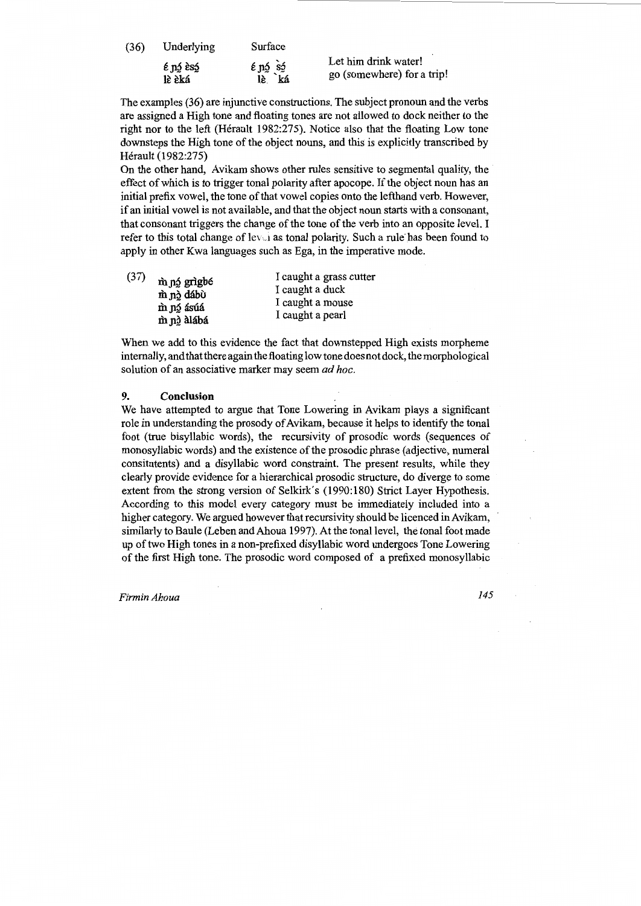| (36) | Underlying                  | Surface                        |                                                    |
|------|-----------------------------|--------------------------------|----------------------------------------------------|
|      | $\epsilon$ nó esó<br>lè èká | $\epsilon$ ná sá<br>lè.<br>`ká | Let him drink water!<br>go (somewhere) for a trip! |

The examples (36) are injunctive constructions. The subject pronoun and the verbs are assigned a High tone and floating tones are not allowed to dock neither to the right nor to the left (Herault 1982:275). Notice also that the floating Low tone downsteps the High tone of the object nouns, and this is explicitly transcribed by Herault (1982:275)

On the other hand, Avikam shows other rules sensitive to segmental quality, the effect of which is to trigger tonal polarity after apocope. If the object noun has an initial prefix vowel, the tone of that vowel copies onto the lefthand verb. However, if an initial vowel is not available, and that the object noun starts with a consonant, that consonant triggers the change of the tone of the verb into an opposite level. I refer to this total change of level as tonal polarity. Such a rule has been found to apply in other Kwa languages such as Ega, in the imperative mode.

| (37) | m nó grìgbé<br>m nà dábù<br>m nó ásúá<br>m nà alábá | I caught a grass cutter |
|------|-----------------------------------------------------|-------------------------|
|      |                                                     | I caught a duck         |
|      |                                                     | I caught a mouse        |
|      |                                                     | I caught a pearl        |
|      |                                                     |                         |

When we add to this evidence the fact that downstepped High exists morpheme internally, and that there again the floating low tone does not dock, the morphological solution of an associative marker may seem *ad hoc.* 

### 9. Conclusion

We have attempted to argue that Tone Lowering in Avikam plays a significant role in understanding the prosody of Avikam, because it helps to identify the tonal foot (true bisyllabic words), the recursivity of prosodic words (sequences of monosyllabic words) and the existence of the prosodic phrase (adjective, numeral consitutents) and a disyllabic word constraint. The present results, while they clearly provide evidence for a hierarchical prosodic structure, do diverge to some extent from the strong version of Selkirk's (1990:180) Strict Layer Hypothesis. According to this model every category must be immediately included into a higher category. We argued however that recursivity should be licenced in Avikam, similarly to Baule (Leben and Ahoua 1997). At the tonal level, the tonal foot made up of two High tones in a non-prefixed disyllabic word undergoes Tone Lowering of the first High tone. The prosodic word composed of a prefixed monosyllabic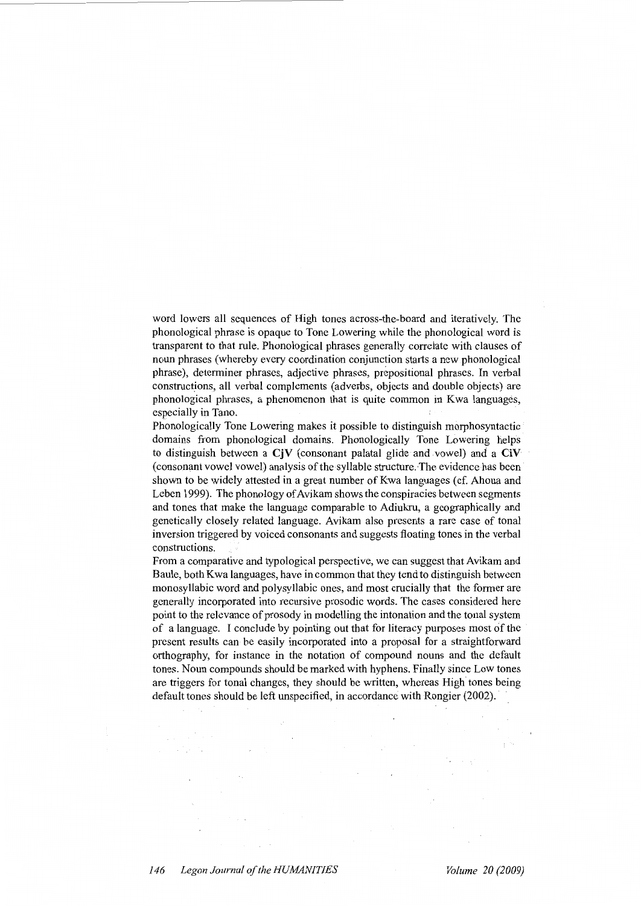word lowers all sequences of High tones across-the-board and iteratively. The phonological phrase is opaque to Tone Lowering while the phonological word is transparent to that rule. Phonological phrases generally correlate with clauses of noun phrases (whereby every coordination conjunction starts a new phonological phrase), determiner phrases, adjective phrases, prepositional phrases. In verbal constructions, all verbal complements (adverbs, objects and double objects) are phonological phrases, a phenomenon that is quite common in Kwa languages, especially in Tano.

Phonologically Tone Lowering makes it possible to distinguish morphosyntactic domains from phonological domains. Phonologically Tone Lowering helps to distinguish between a  $C<sub>i</sub>V$  (consonant palatal glide and vowel) and a  $C<sub>i</sub>V$ (consonant vowel vowel) analysis of the syllable structure. The evidence has been shown to be widely attested in a great number of Kwa languages (cf. Ahoua and Leben 1999). The phonology of Avikam shows the conspiracies between segments and tones that make the language comparable to Adiukru, a geographically and genetically closely related language. Avikam also presents a rare case of tonal inversion triggered by voiced consonants and suggests floating tones in the verbal constructions.

From a comparative and typological perspective, we can suggest that Avikam and Baule, both Kwa languages, have in common that they tend to distinguish between monosyllabic word and polysyllabic ones, and most crucially that the former are generally incorporated into recursive prosodic words. The cases considered here point to the relevance of prosody in modelling the intonation and the tonal system of a language. I conclude by pointing out that for literacy purposes most of the present results can be easily incorporated into a proposal for a straightforward orthography, for instance in the notation of compound nouns and the default tones. Noun compounds should be marked with hyphens. Finally since Low tones are triggers for tonal changes, they should be written, whereas High tones being. default tones should be left unspecified, in accordance with Rongier (2002).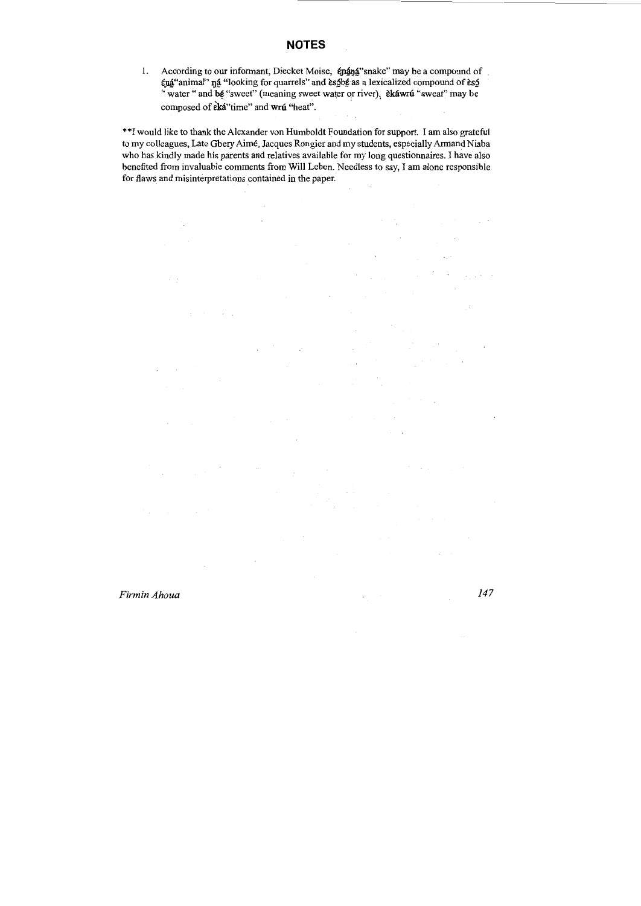1. According to our informant, Diecket Moise,  $\epsilon$ nang "snake" may be a compound of  $\epsilon$ ná "animal"  $\eta$ á "looking for quarrels" and ès $\epsilon$ bé as a lexicalized compound of ès $\epsilon$ " water " and bg "sweet" (meaning sweet water or river). **Ekawru** "sweat" may be composed of eka"time" and wru "heat".

\*\*I would like to thank the Alexander von Humboldt Foundation for support. I am also grateful to my colleagues, Late Gbery Aimé, Jacques Rongier and my students, especially Armand Niaba who has kindly made his parents and relatives available for my long questionnaires. I have also benefited from invaluable comments from Will Leben. Needless to say, I am alone responsible for flaws and misinterpretations contained in the paper.

 $\ddot{\phantom{0}}$ 

 $\overline{\phantom{a}}$ 

 $\bar{z}$ 

 $\bar{z}$ 

 $\sim$   $^{\prime}$ 

 $\overline{\phantom{a}}$ 

 $\overline{\phantom{a}}$ 

*Firmin Ahoua 147* 

 $\sim$   $\pm$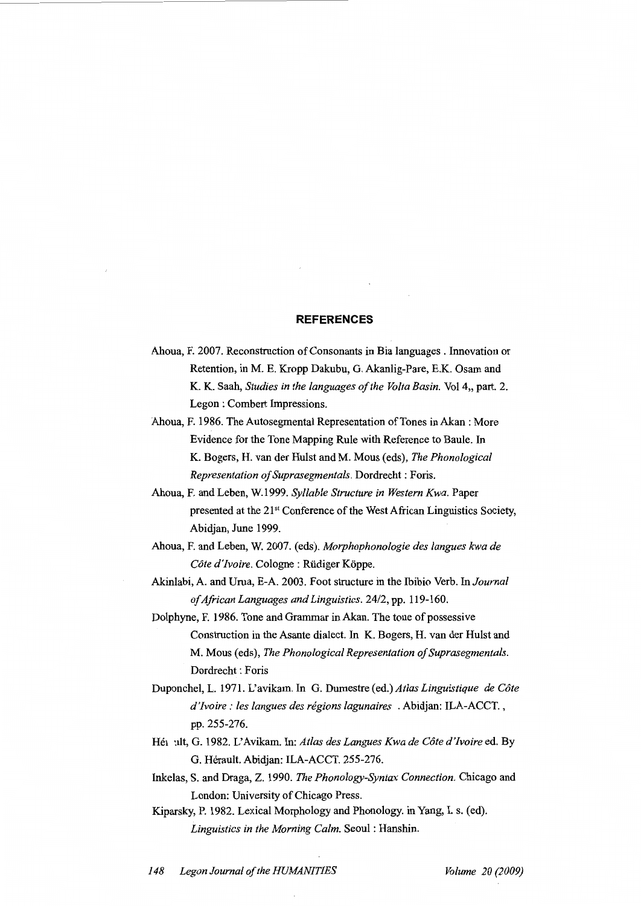## **REFERENCES**

- Ahoua, F. 2007. Reconstruction of Consonants in Bia languages. Innovation or Retention, in M. E. Kropp Dakubu, G. Akanlig-Pare, E.K. Osam and K. K. Saah, *Studies in the languages of the Volta Basin.* Vol 4,, part. 2. Legon : Combert Impressions.
- Ahoua, F. 1986. The Autosegmental Representation of Tones in Akan: More Evidence for the Tone Mapping Rule with Reference to Baule. In K. Bogers, H. van der Hulst and M. Mous (eds), *The Phonological Representation of Suprasegmentals.* Dordrecht: Foris.
- Ahoua, F. and Leben, W.1999. *Syllable Structure in Western Kwa.* Paper presented at the 21<sup>st</sup> Conference of the West African Linguistics Society, Abidjan, June 1999.
- Ahoua, F. and Leben, W. 2007. (eds). *Morphophonologie des langues kwa de Cote d'Ivoire.* Cologne : Rudiger Koppe.
- Akinlabi, A. and Urua, E-A. 2003. Foot structure in the lbibio Verb. In *Journal of African Languages and Linguistics. 2412,* pp. 119-160.
- Dolphyne, F. 1986. Tone and Grammar in Akan. The tone of possessive Construction in the Asante dialect. In K. Bogers, H. van der Hulst and M. Mous (eds), *The Phonological Representation of Suprasegmentals.*  Dordrecht : Foris
- Duponchel, L. 1971. L'avikam. In G. Dumestre (ed.) *Atlas Linguistique de Cote d'Ivoire: /es langues des regions lagunaires* . Abidjan: ILA-ACCT., pp. 255-276.
- Hé1 ult, G. 1982. L'Avikam. In: Atlas des Langues Kwa de Côte d'Ivoire ed. By G. Herault. Abidjan: ILA-ACCT. 255-276.
- Inkelas, S. and Draga, Z. 1990. *The Phonology-Syntax Connection.* Chicago and London: University of Chicago Press.
- Kiparsky, P. 1982. Lexical Morphology and Phonology. in Yang, I. s. (ed). *Linguistics in the Morning Calm.* Seoul : Hanshin.